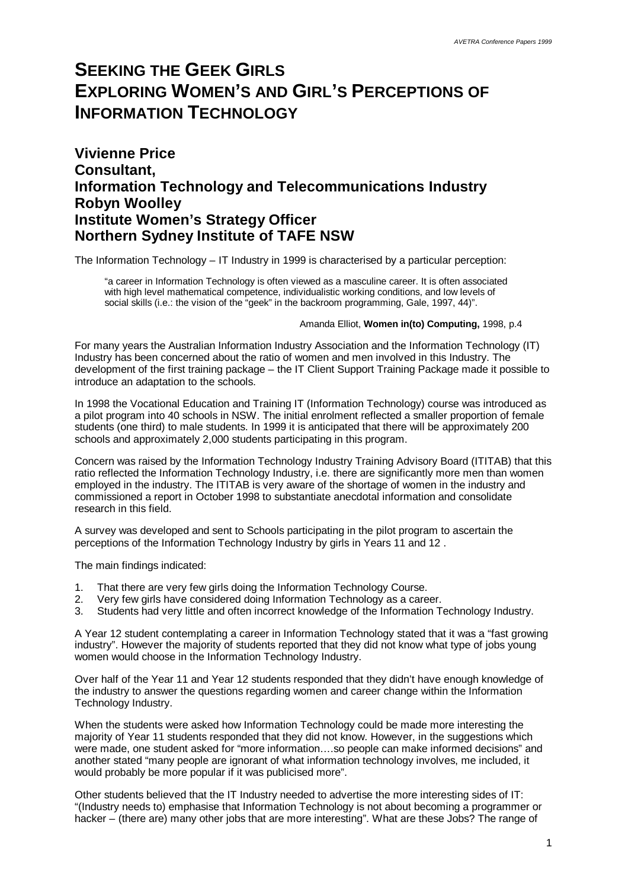# **SEEKING THE GEEK GIRLS EXPLORING WOMEN'S AND GIRL'S PERCEPTIONS OF INFORMATION TECHNOLOGY**

#### **Vivienne Price Consultant, Information Technology and Telecommunications Industry Robyn Woolley Institute Women's Strategy Officer Northern Sydney Institute of TAFE NSW**

The Information Technology – IT Industry in 1999 is characterised by a particular perception:

"a career in Information Technology is often viewed as a masculine career. It is often associated with high level mathematical competence, individualistic working conditions, and low levels of social skills (i.e.: the vision of the "geek" in the backroom programming, Gale, 1997, 44)".

#### Amanda Elliot, **Women in(to) Computing,** 1998, p.4

For many years the Australian Information Industry Association and the Information Technology (IT) Industry has been concerned about the ratio of women and men involved in this Industry. The development of the first training package – the IT Client Support Training Package made it possible to introduce an adaptation to the schools.

In 1998 the Vocational Education and Training IT (Information Technology) course was introduced as a pilot program into 40 schools in NSW. The initial enrolment reflected a smaller proportion of female students (one third) to male students. In 1999 it is anticipated that there will be approximately 200 schools and approximately 2,000 students participating in this program.

Concern was raised by the Information Technology Industry Training Advisory Board (ITITAB) that this ratio reflected the Information Technology Industry, i.e. there are significantly more men than women employed in the industry. The ITITAB is very aware of the shortage of women in the industry and commissioned a report in October 1998 to substantiate anecdotal information and consolidate research in this field.

A survey was developed and sent to Schools participating in the pilot program to ascertain the perceptions of the Information Technology Industry by girls in Years 11 and 12 .

The main findings indicated:

- 1. That there are very few girls doing the Information Technology Course.
- 2. Very few girls have considered doing Information Technology as a career.
- 3. Students had very little and often incorrect knowledge of the Information Technology Industry.

A Year 12 student contemplating a career in Information Technology stated that it was a "fast growing industry". However the majority of students reported that they did not know what type of jobs young women would choose in the Information Technology Industry.

Over half of the Year 11 and Year 12 students responded that they didn't have enough knowledge of the industry to answer the questions regarding women and career change within the Information Technology Industry.

When the students were asked how Information Technology could be made more interesting the majority of Year 11 students responded that they did not know. However, in the suggestions which were made, one student asked for "more information… .so people can make informed decisions" and another stated "many people are ignorant of what information technology involves, me included, it would probably be more popular if it was publicised more".

Other students believed that the IT Industry needed to advertise the more interesting sides of IT: "(Industry needs to) emphasise that Information Technology is not about becoming a programmer or hacker – (there are) many other jobs that are more interesting". What are these Jobs? The range of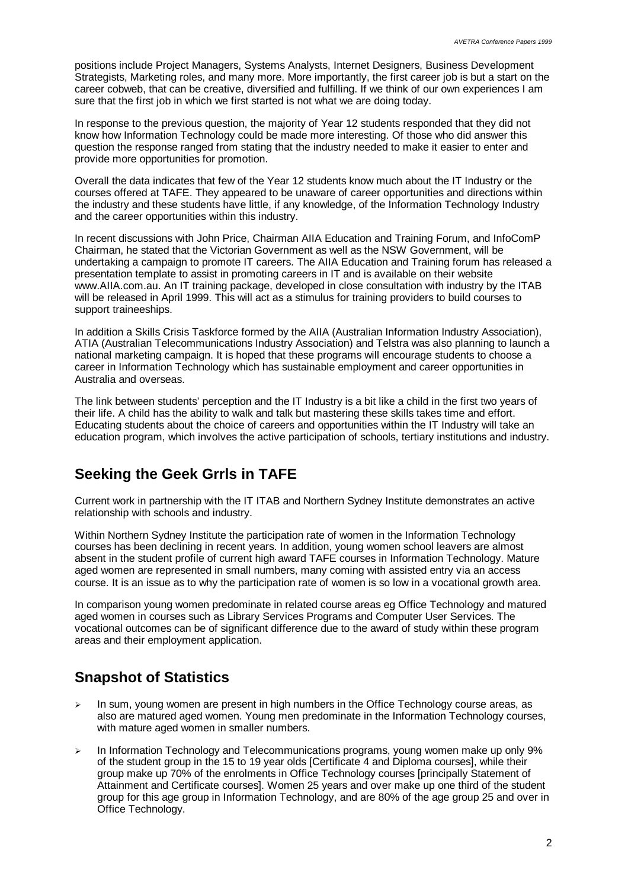positions include Project Managers, Systems Analysts, Internet Designers, Business Development Strategists, Marketing roles, and many more. More importantly, the first career job is but a start on the career cobweb, that can be creative, diversified and fulfilling. If we think of our own experiences I am sure that the first job in which we first started is not what we are doing today.

In response to the previous question, the majority of Year 12 students responded that they did not know how Information Technology could be made more interesting. Of those who did answer this question the response ranged from stating that the industry needed to make it easier to enter and provide more opportunities for promotion.

Overall the data indicates that few of the Year 12 students know much about the IT Industry or the courses offered at TAFE. They appeared to be unaware of career opportunities and directions within the industry and these students have little, if any knowledge, of the Information Technology Industry and the career opportunities within this industry.

In recent discussions with John Price, Chairman AIIA Education and Training Forum, and InfoComP Chairman, he stated that the Victorian Government as well as the NSW Government, will be undertaking a campaign to promote IT careers. The AIIA Education and Training forum has released a presentation template to assist in promoting careers in IT and is available on their website www.AIIA.com.au. An IT training package, developed in close consultation with industry by the ITAB will be released in April 1999. This will act as a stimulus for training providers to build courses to support traineeships.

In addition a Skills Crisis Taskforce formed by the AIIA (Australian Information Industry Association), ATIA (Australian Telecommunications Industry Association) and Telstra was also planning to launch a national marketing campaign. It is hoped that these programs will encourage students to choose a career in Information Technology which has sustainable employment and career opportunities in Australia and overseas.

The link between students' perception and the IT Industry is a bit like a child in the first two years of their life. A child has the ability to walk and talk but mastering these skills takes time and effort. Educating students about the choice of careers and opportunities within the IT Industry will take an education program, which involves the active participation of schools, tertiary institutions and industry.

### **Seeking the Geek Grrls in TAFE**

Current work in partnership with the IT ITAB and Northern Sydney Institute demonstrates an active relationship with schools and industry.

Within Northern Sydney Institute the participation rate of women in the Information Technology courses has been declining in recent years. In addition, young women school leavers are almost absent in the student profile of current high award TAFE courses in Information Technology. Mature aged women are represented in small numbers, many coming with assisted entry via an access course. It is an issue as to why the participation rate of women is so low in a vocational growth area.

In comparison young women predominate in related course areas eg Office Technology and matured aged women in courses such as Library Services Programs and Computer User Services. The vocational outcomes can be of significant difference due to the award of study within these program areas and their employment application.

## **Snapshot of Statistics**

- $\geq$  In sum, young women are present in high numbers in the Office Technology course areas, as also are matured aged women. Young men predominate in the Information Technology courses, with mature aged women in smaller numbers.
- $\triangleright$  In Information Technology and Telecommunications programs, young women make up only 9% of the student group in the 15 to 19 year olds [Certificate 4 and Diploma courses], while their group make up 70% of the enrolments in Office Technology courses [principally Statement of Attainment and Certificate courses]. Women 25 years and over make up one third of the student group for this age group in Information Technology, and are 80% of the age group 25 and over in Office Technology.